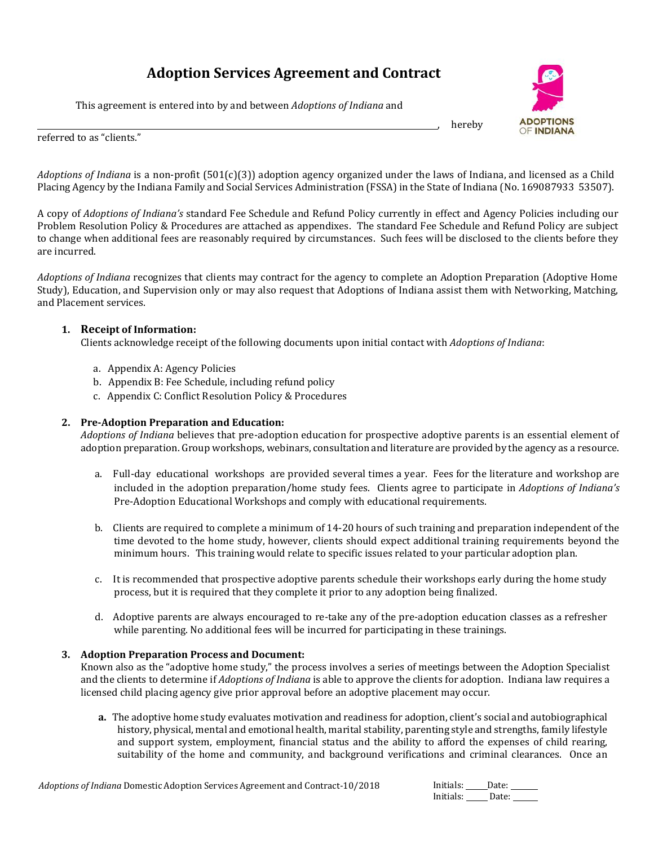# **Adoption Services Agreement and Contract**

This agreement is entered into by and between *Adoptions of Indiana* and



, hereby

referred to as "clients."

*Adoptions of Indiana* is a non-profit (501(c)(3)) adoption agency organized under the laws of Indiana, and licensed as a Child Placing Agency by the Indiana Family and Social Services Administration (FSSA) in the State of Indiana (No. 169087933 53507).

A copy of *Adoptions of Indiana's* standard Fee Schedule and Refund Policy currently in effect and Agency Policies including our Problem Resolution Policy & Procedures are attached as appendixes. The standard Fee Schedule and Refund Policy are subject to change when additional fees are reasonably required by circumstances. Such fees will be disclosed to the clients before they are incurred.

*Adoptions of Indiana* recognizes that clients may contract for the agency to complete an Adoption Preparation (Adoptive Home Study), Education, and Supervision only or may also request that Adoptions of Indiana assist them with Networking, Matching, and Placement services.

# **1. Receipt of Information:**

Clients acknowledge receipt of the following documents upon initial contact with *Adoptions of Indiana*:

- a. Appendix A: Agency Policies
- b. Appendix B: Fee Schedule, including refund policy
- c. Appendix C: Conflict Resolution Policy & Procedures

# **2. Pre-Adoption Preparation and Education:**

*Adoptions of Indiana* believes that pre-adoption education for prospective adoptive parents is an essential element of adoption preparation. Group workshops, webinars, consultation and literature are provided by the agency as a resource.

- a. Full-day educational workshops are provided several times a year. Fees for the literature and workshop are included in the adoption preparation/home study fees. Clients agree to participate in *Adoptions of Indiana's*  Pre-Adoption Educational Workshops and comply with educational requirements.
- b. Clients are required to complete a minimum of 14-20 hours of such training and preparation independent of the time devoted to the home study, however, clients should expect additional training requirements beyond the minimum hours. This training would relate to specific issues related to your particular adoption plan.
- c. It is recommended that prospective adoptive parents schedule their workshops early during the home study process, but it is required that they complete it prior to any adoption being finalized.
- d. Adoptive parents are always encouraged to re-take any of the pre-adoption education classes as a refresher while parenting. No additional fees will be incurred for participating in these trainings.

#### **3. Adoption Preparation Process and Document:**

Known also as the "adoptive home study," the process involves a series of meetings between the Adoption Specialist and the clients to determine if *Adoptions of Indiana* is able to approve the clients for adoption. Indiana law requires a licensed child placing agency give prior approval before an adoptive placement may occur.

**a.** The adoptive home study evaluates motivation and readiness for adoption, client's social and autobiographical history, physical, mental and emotional health, marital stability, parenting style and strengths, family lifestyle and support system, employment, financial status and the ability to afford the expenses of child rearing, suitability of the home and community, and background verifications and criminal clearances. Once an

| Initials: | Date: |
|-----------|-------|
| Initials: | Date: |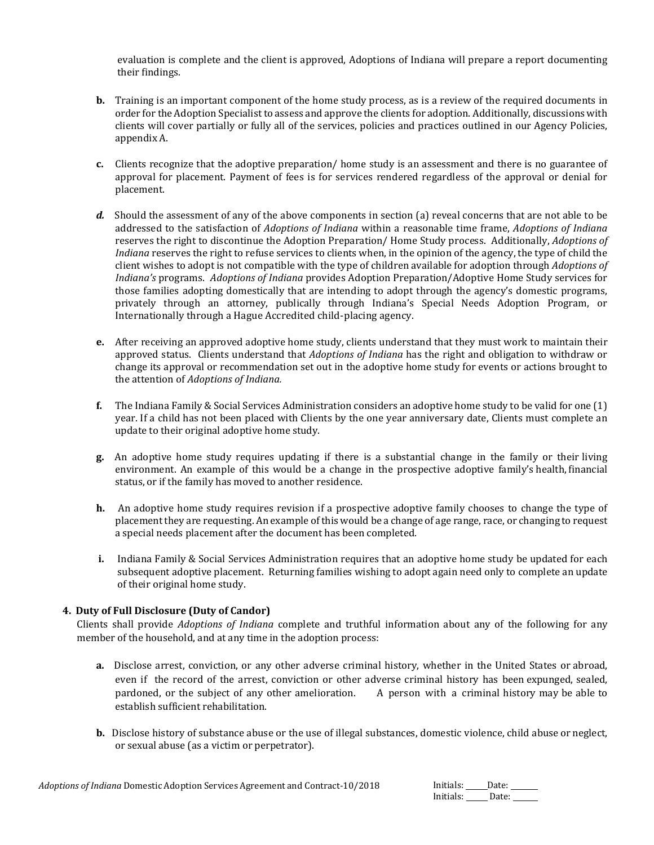evaluation is complete and the client is approved, Adoptions of Indiana will prepare a report documenting their findings.

- **b.** Training is an important component of the home study process, as is a review of the required documents in order for the Adoption Specialist to assess and approve the clients for adoption. Additionally, discussions with clients will cover partially or fully all of the services, policies and practices outlined in our Agency Policies, appendix A.
- **c.** Clients recognize that the adoptive preparation/ home study is an assessment and there is no guarantee of approval for placement. Payment of fees is for services rendered regardless of the approval or denial for placement.
- *d.* Should the assessment of any of the above components in section (a) reveal concerns that are not able to be addressed to the satisfaction of *Adoptions of Indiana* within a reasonable time frame, *Adoptions of Indiana* reserves the right to discontinue the Adoption Preparation/ Home Study process. Additionally, *Adoptions of Indiana* reserves the right to refuse services to clients when, in the opinion of the agency, the type of child the client wishes to adopt is not compatible with the type of children available for adoption through *Adoptions of Indiana's* programs. *Adoptions of Indiana* provides Adoption Preparation/Adoptive Home Study services for those families adopting domestically that are intending to adopt through the agency's domestic programs, privately through an attorney, publically through Indiana's Special Needs Adoption Program, or Internationally through a Hague Accredited child-placing agency.
- **e.** After receiving an approved adoptive home study, clients understand that they must work to maintain their approved status. Clients understand that *Adoptions of Indiana* has the right and obligation to withdraw or change its approval or recommendation set out in the adoptive home study for events or actions brought to the attention of *Adoptions of Indiana.*
- **f.** The Indiana Family & Social Services Administration considers an adoptive home study to be valid for one (1) year. If a child has not been placed with Clients by the one year anniversary date, Clients must complete an update to their original adoptive home study.
- **g.** An adoptive home study requires updating if there is a substantial change in the family or their living environment. An example of this would be a change in the prospective adoptive family's health, financial status, or if the family has moved to another residence.
- **h.** An adoptive home study requires revision if a prospective adoptive family chooses to change the type of placementthey are requesting. An example of this would be a change of age range, race, or changing to request a special needs placement after the document has been completed.
- **i.** Indiana Family & Social Services Administration requires that an adoptive home study be updated for each subsequent adoptive placement. Returning families wishing to adopt again need only to complete an update of their original home study.

# **4. Duty of Full Disclosure (Duty of Candor)**

Clients shall provide *Adoptions of Indiana* complete and truthful information about any of the following for any member of the household, and at any time in the adoption process:

- **a.** Disclose arrest, conviction, or any other adverse criminal history, whether in the United States or abroad, even if the record of the arrest, conviction or other adverse criminal history has been expunged, sealed, pardoned, or the subject of any other amelioration. A person with a criminal history may be able to establish sufficient rehabilitation.
- **b.** Disclose history of substance abuse or the use of illegal substances, domestic violence, child abuse or neglect, or sexual abuse (as a victim or perpetrator).

| Initials: | Date: |
|-----------|-------|
| Initials: | Date: |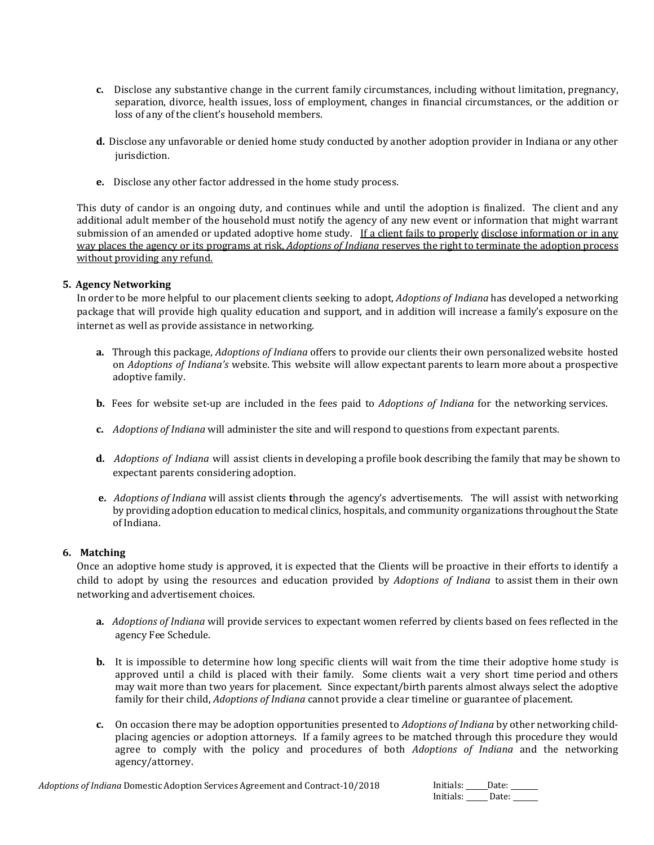- **c.** Disclose any substantive change in the current family circumstances, including without limitation, pregnancy, separation, divorce, health issues, loss of employment, changes in financial circumstances, or the addition or loss of any of the client's household members.
- **d.** Disclose any unfavorable or denied home study conducted by another adoption provider in Indiana or any other jurisdiction.
- **e.** Disclose any other factor addressed in the home study process.

This duty of candor is an ongoing duty, and continues while and until the adoption is finalized. The client and any additional adult member of the household must notify the agency of any new event or information that might warrant submission of an amended or updated adoptive home study. If a client fails to properly disclose information or in any way places the agency or its programs at risk, *Adoptions of Indiana* reserves the right to terminate the adoption process without providing any refund.

# **5. Agency Networking**

In order to be more helpful to our placement clients seeking to adopt, *Adoptions of Indiana* has developed a networking package that will provide high quality education and support, and in addition will increase a family's exposure on the internet as well as provide assistance in networking.

- **a.** Through this package, *Adoptions of Indiana* offers to provide our clients their own personalized website hosted on *Adoptions of Indiana's* website. This website will allow expectant parents to learn more about a prospective adoptive family.
- **b.** Fees for website set-up are included in the fees paid to *Adoptions of Indiana* for the networking services.
- **c.** *Adoptions of Indiana* will administer the site and will respond to questions from expectant parents.
- **d.** *Adoptions of Indiana* will assist clients in developing a profile book describing the family that may be shown to expectant parents considering adoption.
- **e.** *Adoptions of Indiana* will assist clients **t**hrough the agency's advertisements. The will assist with networking by providing adoption education to medical clinics, hospitals, and community organizations throughoutthe State of Indiana.

#### **6. Matching**

Once an adoptive home study is approved, it is expected that the Clients will be proactive in their efforts to identify a child to adopt by using the resources and education provided by *Adoptions of Indiana* to assist them in their own networking and advertisement choices.

- **a.** *Adoptions of Indiana* will provide services to expectant women referred by clients based on fees reflected in the agency Fee Schedule.
- **b.** It is impossible to determine how long specific clients will wait from the time their adoptive home study is approved until a child is placed with their family. Some clients wait a very short time period and others may wait more than two years for placement. Since expectant/birth parents almost always select the adoptive family for their child, *Adoptions of Indiana* cannot provide a clear timeline or guarantee of placement.
- **c.** On occasion there may be adoption opportunities presented to *Adoptions of Indiana* by other networking childplacing agencies or adoption attorneys. If a family agrees to be matched through this procedure they would agree to comply with the policy and procedures of both *Adoptions of Indiana* and the networking agency/attorney.

| Initials: | Date: |
|-----------|-------|
| Initials: | Date: |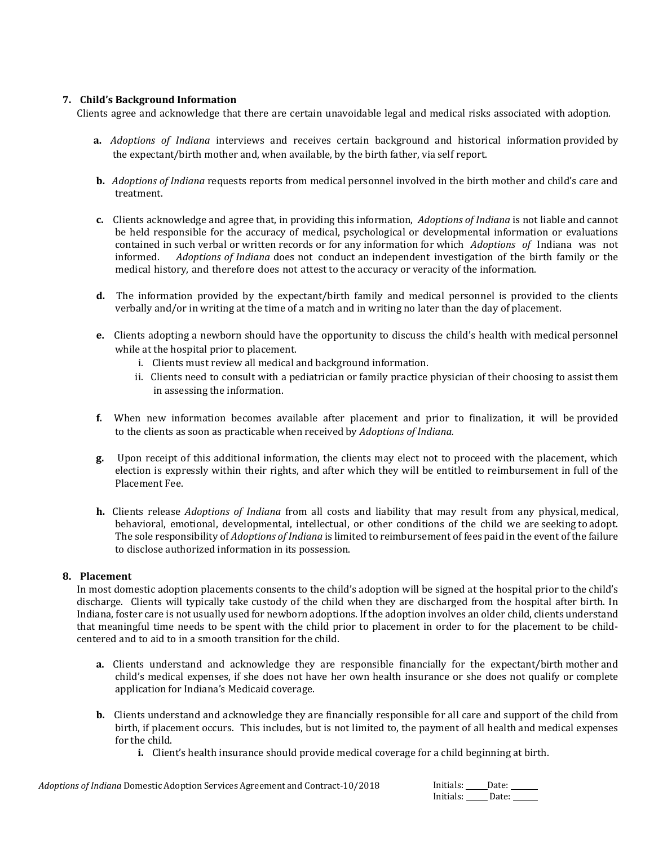# **7. Child's Background Information**

Clients agree and acknowledge that there are certain unavoidable legal and medical risks associated with adoption.

- **a.** *Adoptions of Indiana* interviews and receives certain background and historical information provided by the expectant/birth mother and, when available, by the birth father, via self report.
- **b.** *Adoptions of Indiana* requests reports from medical personnel involved in the birth mother and child's care and treatment.
- **c.** Clients acknowledge and agree that, in providing this information, *Adoptions of Indiana* is not liable and cannot be held responsible for the accuracy of medical, psychological or developmental information or evaluations contained in such verbal or written records or for any information for which *Adoptions of* Indiana was not informed. *Adoptions of Indiana* does not conduct an independent investigation of the birth family or the medical history, and therefore does not attest to the accuracy or veracity of the information.
- **d.** The information provided by the expectant/birth family and medical personnel is provided to the clients verbally and/or in writing at the time of a match and in writing no later than the day of placement.
- **e.** Clients adopting a newborn should have the opportunity to discuss the child's health with medical personnel while at the hospital prior to placement.
	- i. Clients must review all medical and background information.
	- ii. Clients need to consult with a pediatrician or family practice physician of their choosing to assist them in assessing the information.
- **f.** When new information becomes available after placement and prior to finalization, it will be provided to the clients as soon as practicable when received by *Adoptions of Indiana.*
- **g.** Upon receipt of this additional information, the clients may elect not to proceed with the placement, which election is expressly within their rights, and after which they will be entitled to reimbursement in full of the Placement Fee.
- **h.** Clients release *Adoptions of Indiana* from all costs and liability that may result from any physical, medical, behavioral, emotional, developmental, intellectual, or other conditions of the child we are seeking to adopt. The sole responsibility of *Adoptions of Indiana* is limited to reimbursement of fees paid in the event of the failure to disclose authorized information in its possession.

#### **8. Placement**

In most domestic adoption placements consents to the child's adoption will be signed at the hospital prior to the child's discharge. Clients will typically take custody of the child when they are discharged from the hospital after birth. In Indiana, foster care is not usually used for newborn adoptions. If the adoption involves an older child, clients understand that meaningful time needs to be spent with the child prior to placement in order to for the placement to be childcentered and to aid to in a smooth transition for the child.

- **a.** Clients understand and acknowledge they are responsible financially for the expectant/birth mother and child's medical expenses, if she does not have her own health insurance or she does not qualify or complete application for Indiana's Medicaid coverage.
- **b.** Clients understand and acknowledge they are financially responsible for all care and support of the child from birth, if placement occurs. This includes, but is not limited to, the payment of all health and medical expenses for the child.
	- **i.** Client's health insurance should provide medical coverage for a child beginning at birth.

| Initials: | Date: |
|-----------|-------|
| Initials: | Date: |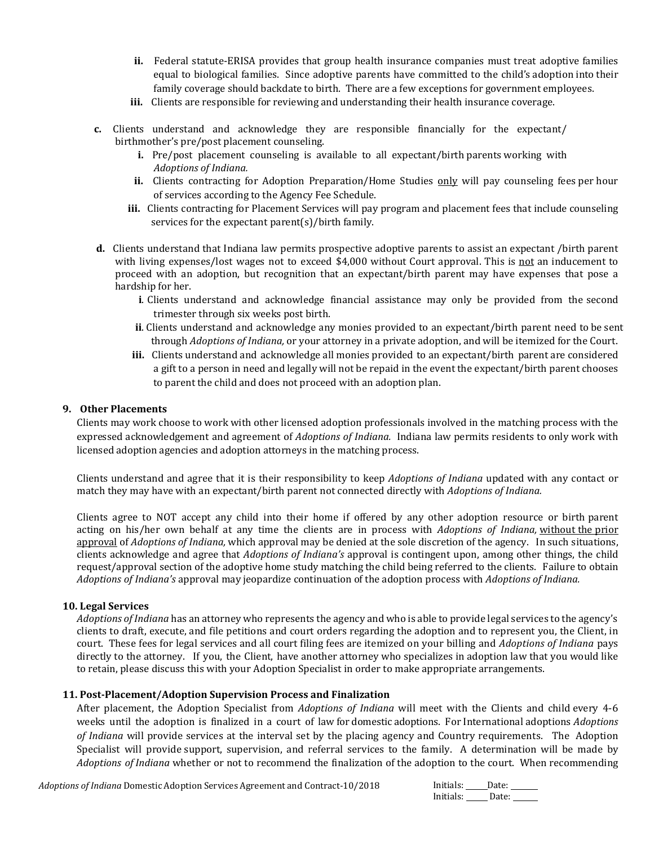- **ii.** Federal statute-ERISA provides that group health insurance companies must treat adoptive families equal to biological families. Since adoptive parents have committed to the child's adoption into their family coverage should backdate to birth. There are a few exceptions for government employees.
- **iii.** Clients are responsible for reviewing and understanding their health insurance coverage.
- **c.** Clients understand and acknowledge they are responsible financially for the expectant/ birthmother's pre/post placement counseling.
	- **i.** Pre/post placement counseling is available to all expectant/birth parents working with *Adoptions of Indiana.*
	- ii. Clients contracting for Adoption Preparation/Home Studies only will pay counseling fees per hour of services according to the Agency Fee Schedule.
	- **iii.** Clients contracting for Placement Services will pay program and placement fees that include counseling services for the expectant parent(s)/birth family.
- **d.** Clients understand that Indiana law permits prospective adoptive parents to assist an expectant /birth parent with living expenses/lost wages not to exceed \$4,000 without Court approval. This is not an inducement to proceed with an adoption, but recognition that an expectant/birth parent may have expenses that pose a hardship for her.
	- **i**. Clients understand and acknowledge financial assistance may only be provided from the second trimester through six weeks post birth.
	- **ii**. Clients understand and acknowledge any monies provided to an expectant/birth parent need to be sent through *Adoptions of Indiana,* or your attorney in a private adoption, and will be itemized for the Court.
	- **iii.** Clients understand and acknowledge all monies provided to an expectant/birth parent are considered a gift to a person in need and legally will not be repaid in the event the expectant/birth parent chooses to parent the child and does not proceed with an adoption plan.

#### **9. Other Placements**

Clients may work choose to work with other licensed adoption professionals involved in the matching process with the expressed acknowledgement and agreement of *Adoptions of Indiana.* Indiana law permits residents to only work with licensed adoption agencies and adoption attorneys in the matching process.

Clients understand and agree that it is their responsibility to keep *Adoptions of Indiana* updated with any contact or match they may have with an expectant/birth parent not connected directly with *Adoptions of Indiana.*

Clients agree to NOT accept any child into their home if offered by any other adoption resource or birth parent acting on his/her own behalf at any time the clients are in process with *Adoptions of Indiana,* without the prior approval of *Adoptions of Indiana,* which approval may be denied at the sole discretion of the agency. In such situations, clients acknowledge and agree that *Adoptions of Indiana's* approval is contingent upon, among other things, the child request/approval section of the adoptive home study matching the child being referred to the clients. Failure to obtain *Adoptions of Indiana's* approval may jeopardize continuation of the adoption process with *Adoptions of Indiana.*

#### **10. Legal Services**

*Adoptions of Indiana* has an attorney who represents the agency and who is able to provide legal services to the agency's clients to draft, execute, and file petitions and court orders regarding the adoption and to represent you, the Client, in court. These fees for legal services and all court filing fees are itemized on your billing and *Adoptions of Indiana* pays directly to the attorney. If you, the Client, have another attorney who specializes in adoption law that you would like to retain, please discuss this with your Adoption Specialist in order to make appropriate arrangements.

#### **11. Post-Placement/Adoption Supervision Process and Finalization**

After placement, the Adoption Specialist from *Adoptions of Indiana* will meet with the Clients and child every 4-6 weeks until the adoption is finalized in a court of law for domestic adoptions. For International adoptions *Adoptions of Indiana* will provide services at the interval set by the placing agency and Country requirements. The Adoption Specialist will provide support, supervision, and referral services to the family. A determination will be made by *Adoptions of Indiana* whether or not to recommend the finalization of the adoption to the court. When recommending

*Adoptions of Indiana* Domestic Adoption Services Agreement and Contract-10/2018

| Initials: | Date: |
|-----------|-------|
| Initials: | Date: |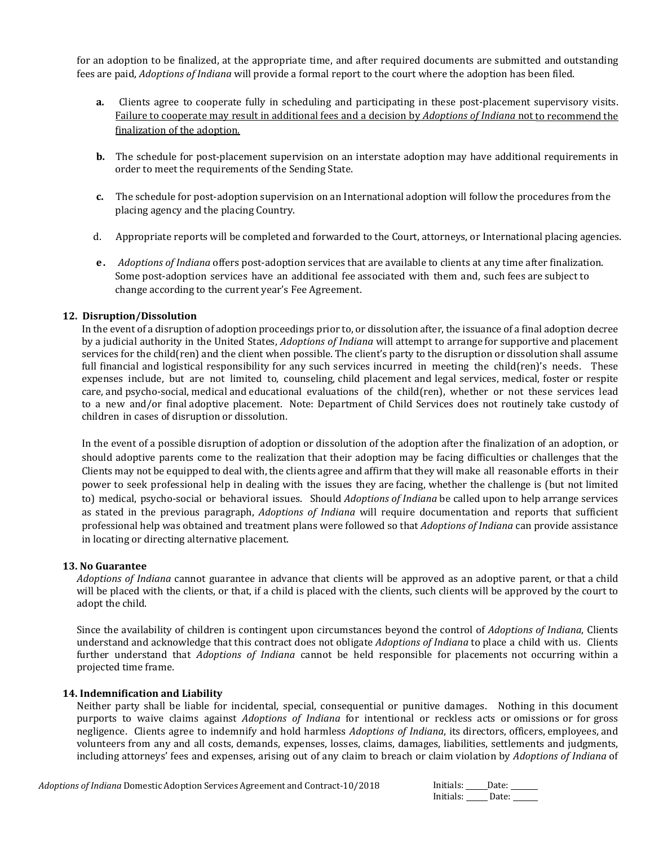for an adoption to be finalized, at the appropriate time, and after required documents are submitted and outstanding fees are paid, *Adoptions of Indiana* will provide a formal report to the court where the adoption has been filed.

- **a.** Clients agree to cooperate fully in scheduling and participating in these post-placement supervisory visits. Failure to cooperate may result in additional fees and a decision by *Adoptions of Indiana* not to recommend the finalization of the adoption.
- **b.** The schedule for post-placement supervision on an interstate adoption may have additional requirements in order to meet the requirements of the Sending State.
- **c.** The schedule for post-adoption supervision on an International adoption will follow the procedures from the placing agency and the placing Country.
- d. Appropriate reports will be completed and forwarded to the Court, attorneys, or International placing agencies.
- **e .** *Adoptions of Indiana* offers post-adoption services that are available to clients at any time after finalization. Some post-adoption services have an additional fee associated with them and, such fees are subject to change according to the current year's Fee Agreement.

#### **12. Disruption/Dissolution**

In the event of a disruption of adoption proceedings prior to, or dissolution after, the issuance of a final adoption decree by a judicial authority in the United States, *Adoptions of Indiana* will attempt to arrange for supportive and placement services for the child(ren) and the client when possible. The client's party to the disruption or dissolution shall assume full financial and logistical responsibility for any such services incurred in meeting the child(ren)'s needs. These expenses include, but are not limited to, counseling, child placement and legal services, medical, foster or respite care, and psycho-social, medical and educational evaluations of the child(ren), whether or not these services lead to a new and/or final adoptive placement. Note: Department of Child Services does not routinely take custody of children in cases of disruption or dissolution.

In the event of a possible disruption of adoption or dissolution of the adoption after the finalization of an adoption, or should adoptive parents come to the realization that their adoption may be facing difficulties or challenges that the Clients may not be equipped to deal with, the clients agree and affirm that they will make all reasonable efforts in their power to seek professional help in dealing with the issues they are facing, whether the challenge is (but not limited to) medical, psycho-social or behavioral issues. Should *Adoptions of Indiana* be called upon to help arrange services as stated in the previous paragraph, *Adoptions of Indiana* will require documentation and reports that sufficient professional help was obtained and treatment plans were followed so that *Adoptions of Indiana* can provide assistance in locating or directing alternative placement.

#### **13. No Guarantee**

*Adoptions of Indiana* cannot guarantee in advance that clients will be approved as an adoptive parent, or that a child will be placed with the clients, or that, if a child is placed with the clients, such clients will be approved by the court to adopt the child.

Since the availability of children is contingent upon circumstances beyond the control of *Adoptions of Indiana*, Clients understand and acknowledge that this contract does not obligate *Adoptions of Indiana* to place a child with us. Clients further understand that *Adoptions of Indiana* cannot be held responsible for placements not occurring within a projected time frame.

#### **14. Indemnification and Liability**

Neither party shall be liable for incidental, special, consequential or punitive damages. Nothing in this document purports to waive claims against *Adoptions of Indiana* for intentional or reckless acts or omissions or for gross negligence. Clients agree to indemnify and hold harmless *Adoptions of Indiana*, its directors, officers, employees, and volunteers from any and all costs, demands, expenses, losses, claims, damages, liabilities, settlements and judgments, including attorneys' fees and expenses, arising out of any claim to breach or claim violation by *Adoptions of Indiana* of

| Initials: | Date: |
|-----------|-------|
| Initials: | Date: |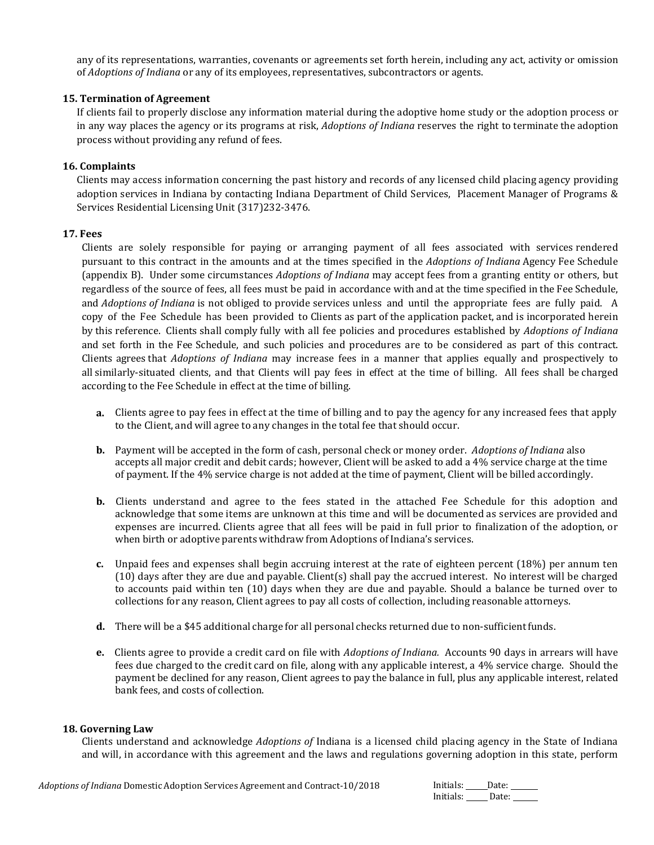any of its representations, warranties, covenants or agreements set forth herein, including any act, activity or omission of *Adoptions of Indiana* or any of its employees, representatives, subcontractors or agents.

### **15. Termination of Agreement**

If clients fail to properly disclose any information material during the adoptive home study or the adoption process or in any way places the agency or its programs at risk, *Adoptions of Indiana* reserves the right to terminate the adoption process without providing any refund of fees.

### **16. Complaints**

Clients may access information concerning the past history and records of any licensed child placing agency providing adoption services in Indiana by contacting Indiana Department of Child Services, Placement Manager of Programs & Services Residential Licensing Unit (317)232-3476.

#### **17. Fees**

Clients are solely responsible for paying or arranging payment of all fees associated with services rendered pursuant to this contract in the amounts and at the times specified in the *Adoptions of Indiana* Agency Fee Schedule (appendix B). Under some circumstances *Adoptions of Indiana* may accept fees from a granting entity or others, but regardless of the source of fees, all fees must be paid in accordance with and at the time specified in the Fee Schedule, and *Adoptions of Indiana* is not obliged to provide services unless and until the appropriate fees are fully paid. A copy of the Fee Schedule has been provided to Clients as part of the application packet, and is incorporated herein by this reference. Clients shall comply fully with all fee policies and procedures established by *Adoptions of Indiana*  and set forth in the Fee Schedule, and such policies and procedures are to be considered as part of this contract. Clients agrees that *Adoptions of Indiana* may increase fees in a manner that applies equally and prospectively to all similarly-situated clients, and that Clients will pay fees in effect at the time of billing. All fees shall be charged according to the Fee Schedule in effect at the time of billing.

- **a.** Clients agree to pay fees in effect at the time of billing and to pay the agency for any increased fees that apply to the Client, and will agree to any changes in the total fee that should occur.
- **b.** Payment will be accepted in the form of cash, personal check or money order. *Adoptions of Indiana* also accepts all major credit and debit cards; however, Client will be asked to add a 4% service charge at the time of payment. If the 4% service charge is not added at the time of payment, Client will be billed accordingly.
- **b.** Clients understand and agree to the fees stated in the attached Fee Schedule for this adoption and acknowledge that some items are unknown at this time and will be documented as services are provided and expenses are incurred. Clients agree that all fees will be paid in full prior to finalization of the adoption, or when birth or adoptive parents withdraw from Adoptions of Indiana's services.
- **c.** Unpaid fees and expenses shall begin accruing interest at the rate of eighteen percent (18%) per annum ten (10) days after they are due and payable. Client(s) shall pay the accrued interest. No interest will be charged to accounts paid within ten (10) days when they are due and payable. Should a balance be turned over to collections for any reason, Client agrees to pay all costs of collection, including reasonable attorneys.
- **d.** There will be a \$45 additional charge for all personal checks returned due to non-sufficient funds.
- **e.** Clients agree to provide a credit card on file with *Adoptions of Indiana.* Accounts 90 days in arrears will have fees due charged to the credit card on file, along with any applicable interest, a 4% service charge. Should the payment be declined for any reason, Client agrees to pay the balance in full, plus any applicable interest, related bank fees, and costs of collection.

#### **18. Governing Law**

Clients understand and acknowledge *Adoptions of* Indiana is a licensed child placing agency in the State of Indiana and will, in accordance with this agreement and the laws and regulations governing adoption in this state, perform

| Initials: | Date: |
|-----------|-------|
| Initials: | Date: |